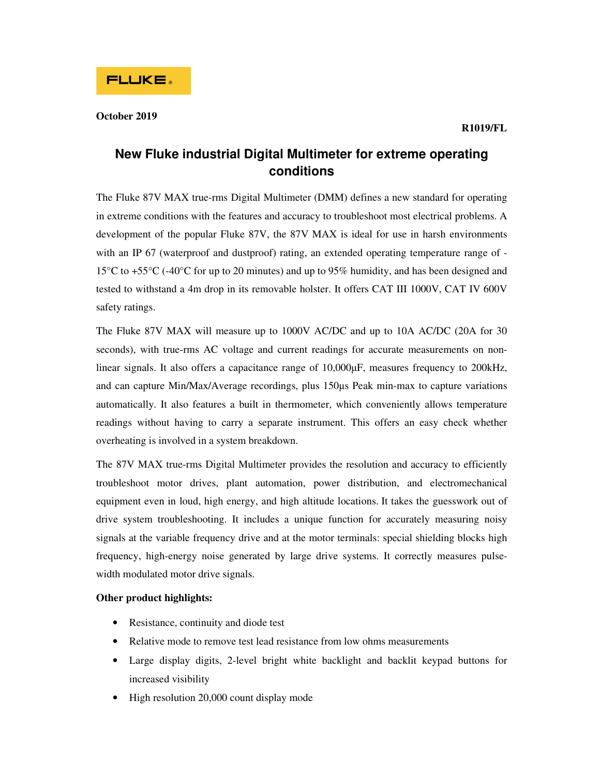## **October 2019**

# **New Fluke industrial Digital Multimeter for extreme operating conditions**

The Fluke 87V MAX true-rms Digital Multimeter (DMM) defines a new standard for operating in extreme conditions with the features and accuracy to troubleshoot most electrical problems. A development of the popular Fluke 87V, the 87V MAX is ideal for use in harsh environments with an IP 67 (waterproof and dustproof) rating, an extended operating temperature range of -15°C to +55°C (-40°C for up to 20 minutes) and up to 95% humidity, and has been designed and tested to withstand a 4m drop in its removable holster. It offers CAT III 1000V, CAT IV 600V safety ratings.

The Fluke 87V MAX will measure up to 1000V AC/DC and up to 10A AC/DC (20A for 30 seconds), with true-rms AC voltage and current readings for accurate measurements on nonlinear signals. It also offers a capacitance range of 10,000μF, measures frequency to 200kHz, and can capture Min/Max/Average recordings, plus 150μs Peak min-max to capture variations automatically. It also features a built in thermometer, which conveniently allows temperature readings without having to carry a separate instrument. This offers an easy check whether overheating is involved in a system breakdown.

The 87V MAX true-rms Digital Multimeter provides the resolution and accuracy to efficiently troubleshoot motor drives, plant automation, power distribution, and electromechanical equipment even in loud, high energy, and high altitude locations. It takes the guesswork out of drive system troubleshooting. It includes a unique function for accurately measuring noisy signals at the variable frequency drive and at the motor terminals: special shielding blocks high frequency, high-energy noise generated by large drive systems. It correctly measures pulsewidth modulated motor drive signals.

# **Other product highlights:**

- Resistance, continuity and diode test
- Relative mode to remove test lead resistance from low ohms measurements
- Large display digits, 2-level bright white backlight and backlit keypad buttons for increased visibility
- High resolution 20,000 count display mode